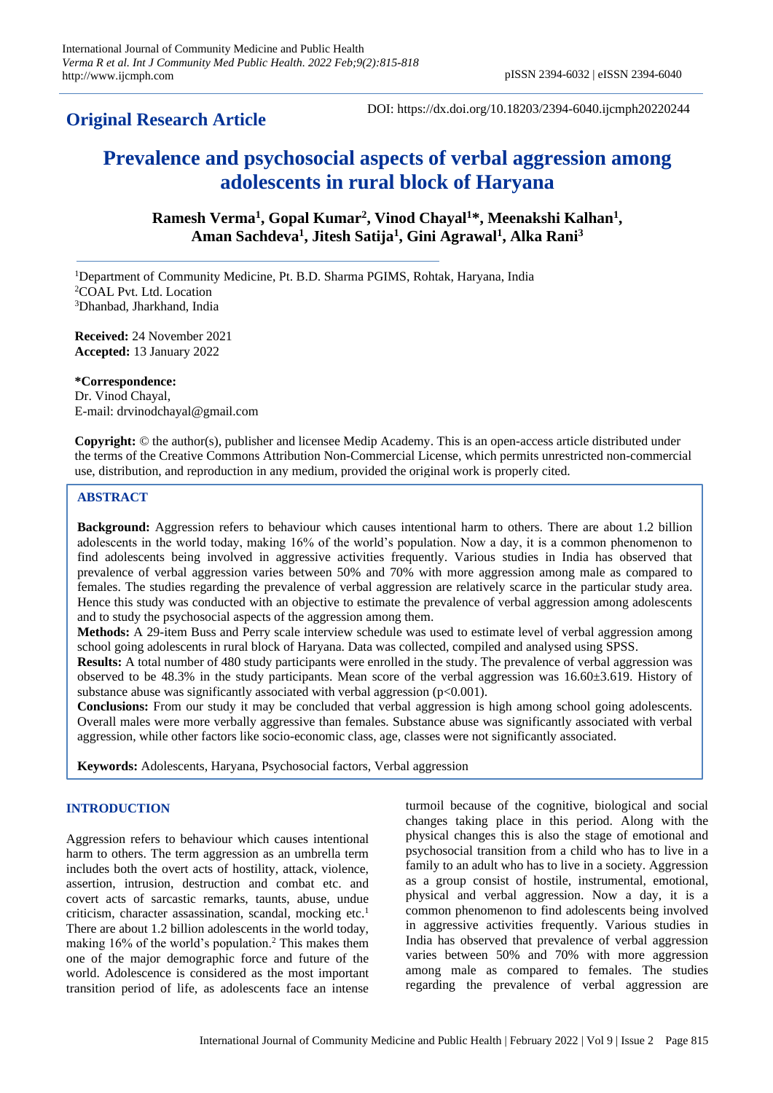# **Original Research Article**

DOI: https://dx.doi.org/10.18203/2394-6040.ijcmph20220244

# **Prevalence and psychosocial aspects of verbal aggression among adolescents in rural block of Haryana**

**Ramesh Verma<sup>1</sup> , Gopal Kumar<sup>2</sup> , Vinod Chayal<sup>1</sup>\*, Meenakshi Kalhan<sup>1</sup> , Aman Sachdeva<sup>1</sup> , Jitesh Satija<sup>1</sup> , Gini Agrawal<sup>1</sup> , Alka Rani<sup>3</sup>**

<sup>1</sup>Department of Community Medicine, Pt. B.D. Sharma PGIMS, Rohtak, Haryana, India <sup>2</sup>COAL Pvt. Ltd. Location <sup>3</sup>Dhanbad, Jharkhand, India

**Received:** 24 November 2021 **Accepted:** 13 January 2022

**\*Correspondence:** Dr. Vinod Chayal, E-mail: drvinodchayal@gmail.com

**Copyright:** © the author(s), publisher and licensee Medip Academy. This is an open-access article distributed under the terms of the Creative Commons Attribution Non-Commercial License, which permits unrestricted non-commercial use, distribution, and reproduction in any medium, provided the original work is properly cited.

# **ABSTRACT**

**Background:** Aggression refers to behaviour which causes intentional harm to others. There are about 1.2 billion adolescents in the world today, making 16% of the world's population. Now a day, it is a common phenomenon to find adolescents being involved in aggressive activities frequently. Various studies in India has observed that prevalence of verbal aggression varies between 50% and 70% with more aggression among male as compared to females. The studies regarding the prevalence of verbal aggression are relatively scarce in the particular study area. Hence this study was conducted with an objective to estimate the prevalence of verbal aggression among adolescents and to study the psychosocial aspects of the aggression among them.

**Methods:** A 29-item Buss and Perry scale interview schedule was used to estimate level of verbal aggression among school going adolescents in rural block of Haryana. Data was collected, compiled and analysed using SPSS.

**Results:** A total number of 480 study participants were enrolled in the study. The prevalence of verbal aggression was observed to be 48.3% in the study participants. Mean score of the verbal aggression was 16.60±3.619. History of substance abuse was significantly associated with verbal aggression  $(p<0.001)$ .

**Conclusions:** From our study it may be concluded that verbal aggression is high among school going adolescents. Overall males were more verbally aggressive than females. Substance abuse was significantly associated with verbal aggression, while other factors like socio-economic class, age, classes were not significantly associated.

**Keywords:** Adolescents, Haryana, Psychosocial factors, Verbal aggression

# **INTRODUCTION**

Aggression refers to behaviour which causes intentional harm to others. The term aggression as an umbrella term includes both the overt acts of hostility, attack, violence, assertion, intrusion, destruction and combat etc. and covert acts of sarcastic remarks, taunts, abuse, undue criticism, character assassination, scandal, mocking etc.<sup>1</sup> There are about 1.2 billion adolescents in the world today, making  $16\%$  of the world's population.<sup>2</sup> This makes them one of the major demographic force and future of the world. Adolescence is considered as the most important transition period of life, as adolescents face an intense

turmoil because of the cognitive, biological and social changes taking place in this period. Along with the physical changes this is also the stage of emotional and psychosocial transition from a child who has to live in a family to an adult who has to live in a society. Aggression as a group consist of hostile, instrumental, emotional, physical and verbal aggression. Now a day, it is a common phenomenon to find adolescents being involved in aggressive activities frequently. Various studies in India has observed that prevalence of verbal aggression varies between 50% and 70% with more aggression among male as compared to females. The studies regarding the prevalence of verbal aggression are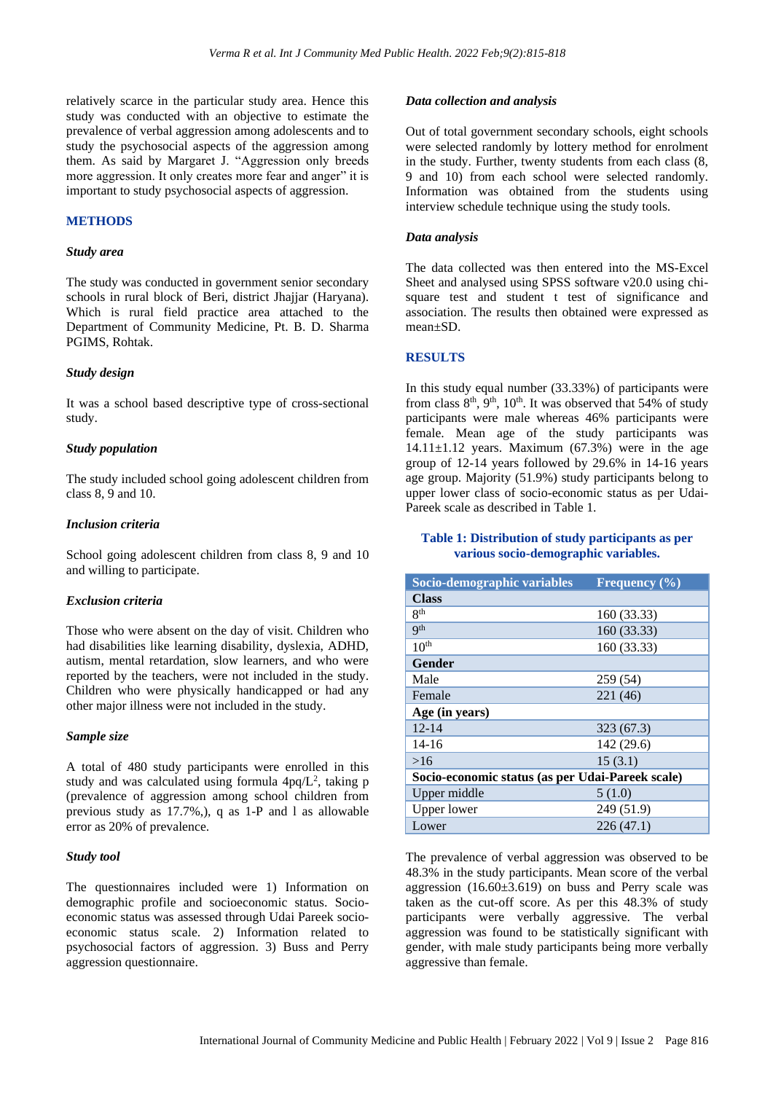relatively scarce in the particular study area. Hence this study was conducted with an objective to estimate the prevalence of verbal aggression among adolescents and to study the psychosocial aspects of the aggression among them. As said by Margaret J. "Aggression only breeds more aggression. It only creates more fear and anger" it is important to study psychosocial aspects of aggression.

# **METHODS**

#### *Study area*

The study was conducted in government senior secondary schools in rural block of Beri, district Jhajjar (Haryana). Which is rural field practice area attached to the Department of Community Medicine, Pt. B. D. Sharma PGIMS, Rohtak.

#### *Study design*

It was a school based descriptive type of cross-sectional study.

### *Study population*

The study included school going adolescent children from class 8, 9 and 10.

#### *Inclusion criteria*

School going adolescent children from class 8, 9 and 10 and willing to participate.

#### *Exclusion criteria*

Those who were absent on the day of visit. Children who had disabilities like learning disability, dyslexia, ADHD, autism, mental retardation, slow learners, and who were reported by the teachers, were not included in the study. Children who were physically handicapped or had any other major illness were not included in the study.

#### *Sample size*

A total of 480 study participants were enrolled in this study and was calculated using formula  $4pq/L^2$ , taking p (prevalence of aggression among school children from previous study as 17.7%,), q as 1-P and l as allowable error as 20% of prevalence.

#### *Study tool*

The questionnaires included were 1) Information on demographic profile and socioeconomic status. Socioeconomic status was assessed through Udai Pareek socioeconomic status scale. 2) Information related to psychosocial factors of aggression. 3) Buss and Perry aggression questionnaire.

#### *Data collection and analysis*

Out of total government secondary schools, eight schools were selected randomly by lottery method for enrolment in the study. Further, twenty students from each class (8, 9 and 10) from each school were selected randomly. Information was obtained from the students using interview schedule technique using the study tools.

#### *Data analysis*

The data collected was then entered into the MS-Excel Sheet and analysed using SPSS software v20.0 using chisquare test and student t test of significance and association. The results then obtained were expressed as mean±SD.

#### **RESULTS**

In this study equal number (33.33%) of participants were from class  $8<sup>th</sup>$ ,  $9<sup>th</sup>$ ,  $10<sup>th</sup>$ . It was observed that 54% of study participants were male whereas 46% participants were female. Mean age of the study participants was  $14.11 \pm 1.12$  years. Maximum (67.3%) were in the age group of 12-14 years followed by 29.6% in 14-16 years age group. Majority (51.9%) study participants belong to upper lower class of socio-economic status as per Udai-Pareek scale as described in Table 1.

#### **Table 1: Distribution of study participants as per various socio-demographic variables.**

| Socio-demographic variables                      | <b>Frequency</b> $(\%)$ |  |  |  |  |
|--------------------------------------------------|-------------------------|--|--|--|--|
| <b>Class</b>                                     |                         |  |  |  |  |
| <b>Rth</b>                                       | 160 (33.33)             |  |  |  |  |
| <b>Qth</b>                                       | 160 (33.33)             |  |  |  |  |
| 10 <sup>th</sup>                                 | 160 (33.33)             |  |  |  |  |
| <b>Gender</b>                                    |                         |  |  |  |  |
| Male                                             | 259 (54)                |  |  |  |  |
| Female                                           | 221 (46)                |  |  |  |  |
| Age (in years)                                   |                         |  |  |  |  |
| $12 - 14$                                        | 323 (67.3)              |  |  |  |  |
| $14 - 16$                                        | 142 (29.6)              |  |  |  |  |
| >16                                              | 15(3.1)                 |  |  |  |  |
| Socio-economic status (as per Udai-Pareek scale) |                         |  |  |  |  |
| Upper middle                                     | 5(1.0)                  |  |  |  |  |
| <b>Upper lower</b>                               | 249 (51.9)              |  |  |  |  |
| Lower                                            | 226(47.1)               |  |  |  |  |

The prevalence of verbal aggression was observed to be 48.3% in the study participants. Mean score of the verbal aggression  $(16.60\pm3.619)$  on buss and Perry scale was taken as the cut-off score. As per this 48.3% of study participants were verbally aggressive. The verbal aggression was found to be statistically significant with gender, with male study participants being more verbally aggressive than female.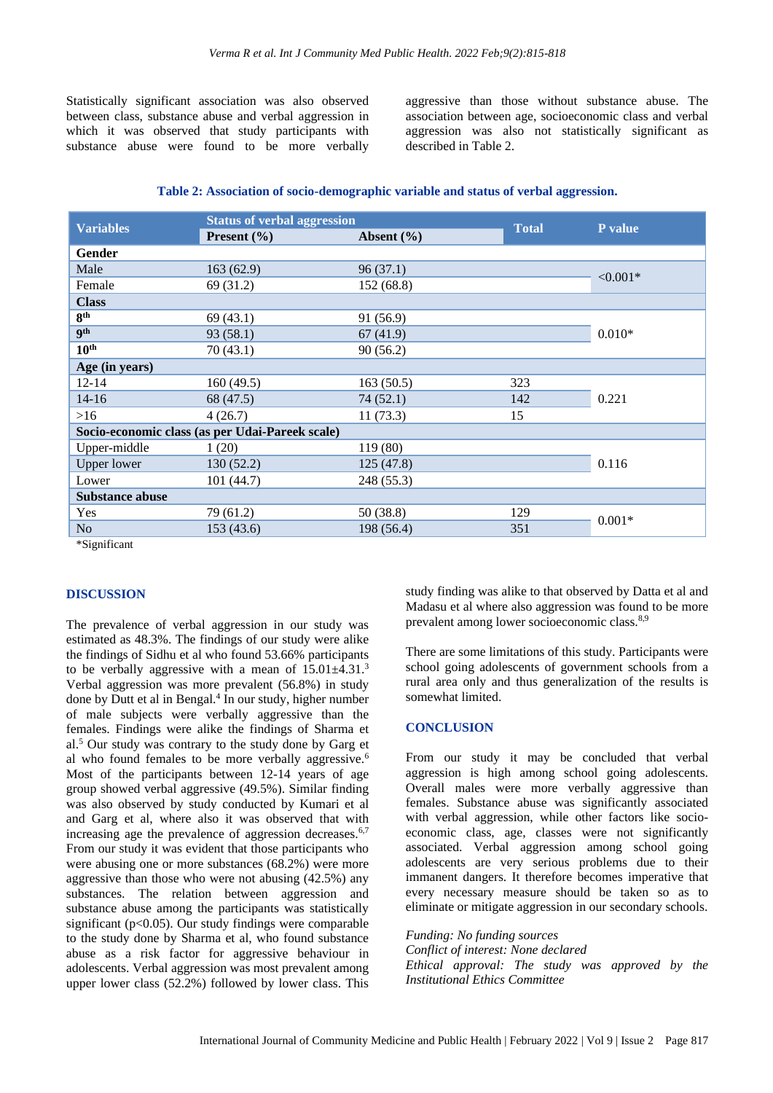Statistically significant association was also observed between class, substance abuse and verbal aggression in which it was observed that study participants with substance abuse were found to be more verbally

aggressive than those without substance abuse. The association between age, socioeconomic class and verbal aggression was also not statistically significant as described in Table 2.

|  |  |  | Table 2: Association of socio-demographic variable and status of verbal aggression. |
|--|--|--|-------------------------------------------------------------------------------------|
|  |  |  |                                                                                     |

|                                                 | <b>Status of verbal aggression</b> |                                       |              |            |  |  |
|-------------------------------------------------|------------------------------------|---------------------------------------|--------------|------------|--|--|
| <b>Variables</b>                                | Present $(\% )$                    | Absent $(\% )$                        | <b>Total</b> | P value    |  |  |
| Gender                                          |                                    |                                       |              |            |  |  |
| Male                                            | 163(62.9)                          | 96(37.1)                              |              | $< 0.001*$ |  |  |
| Female                                          | 69 (31.2)                          | 152 (68.8)                            |              |            |  |  |
| <b>Class</b>                                    |                                    |                                       |              |            |  |  |
| 8 <sup>th</sup>                                 | 69(43.1)                           | 91 (56.9)                             |              |            |  |  |
| 9 <sup>th</sup>                                 | 93 (58.1)                          | 67(41.9)                              |              | $0.010*$   |  |  |
| $10^{\text{th}}$                                | 70(43.1)                           | 90(56.2)                              |              |            |  |  |
| Age (in years)                                  |                                    |                                       |              |            |  |  |
| $12 - 14$                                       | 160(49.5)                          | 163(50.5)                             | 323          |            |  |  |
| $14 - 16$                                       | 68 (47.5)                          | 74 (52.1)                             | 142          | 0.221      |  |  |
| >16                                             | 4(26.7)                            | 11(73.3)                              | 15           |            |  |  |
| Socio-economic class (as per Udai-Pareek scale) |                                    |                                       |              |            |  |  |
| Upper-middle                                    | 1(20)                              | 119 (80)                              |              |            |  |  |
| <b>Upper lower</b>                              | 130(52.2)                          | 125(47.8)                             |              | 0.116      |  |  |
| Lower                                           | 101(44.7)                          | 248 (55.3)                            |              |            |  |  |
| <b>Substance abuse</b>                          |                                    |                                       |              |            |  |  |
| <b>Yes</b>                                      | 79 (61.2)                          | 50 (38.8)<br>129<br>198 (56.4)<br>351 |              | $0.001*$   |  |  |
| N <sub>o</sub>                                  | 153(43.6)                          |                                       |              |            |  |  |
| $*C: \ldots C: \ldots$                          |                                    |                                       |              |            |  |  |

\*Significant

#### **DISCUSSION**

The prevalence of verbal aggression in our study was estimated as 48.3%. The findings of our study were alike the findings of Sidhu et al who found 53.66% participants to be verbally aggressive with a mean of  $15.01 \pm 4.31$ .<sup>3</sup> Verbal aggression was more prevalent (56.8%) in study done by Dutt et al in Bengal.<sup>4</sup> In our study, higher number of male subjects were verbally aggressive than the females. Findings were alike the findings of Sharma et al. <sup>5</sup> Our study was contrary to the study done by Garg et al who found females to be more verbally aggressive.<sup>6</sup> Most of the participants between 12-14 years of age group showed verbal aggressive (49.5%). Similar finding was also observed by study conducted by Kumari et al and Garg et al, where also it was observed that with increasing age the prevalence of aggression decreases.<sup>6,7</sup> From our study it was evident that those participants who were abusing one or more substances (68.2%) were more aggressive than those who were not abusing (42.5%) any substances. The relation between aggression and substance abuse among the participants was statistically significant ( $p<0.05$ ). Our study findings were comparable to the study done by Sharma et al, who found substance abuse as a risk factor for aggressive behaviour in adolescents. Verbal aggression was most prevalent among upper lower class (52.2%) followed by lower class. This

study finding was alike to that observed by Datta et al and Madasu et al where also aggression was found to be more prevalent among lower socioeconomic class.8,9

There are some limitations of this study. Participants were school going adolescents of government schools from a rural area only and thus generalization of the results is somewhat limited.

#### **CONCLUSION**

From our study it may be concluded that verbal aggression is high among school going adolescents. Overall males were more verbally aggressive than females. Substance abuse was significantly associated with verbal aggression, while other factors like socioeconomic class, age, classes were not significantly associated. Verbal aggression among school going adolescents are very serious problems due to their immanent dangers. It therefore becomes imperative that every necessary measure should be taken so as to eliminate or mitigate aggression in our secondary schools.

*Funding: No funding sources Conflict of interest: None declared Ethical approval: The study was approved by the Institutional Ethics Committee*